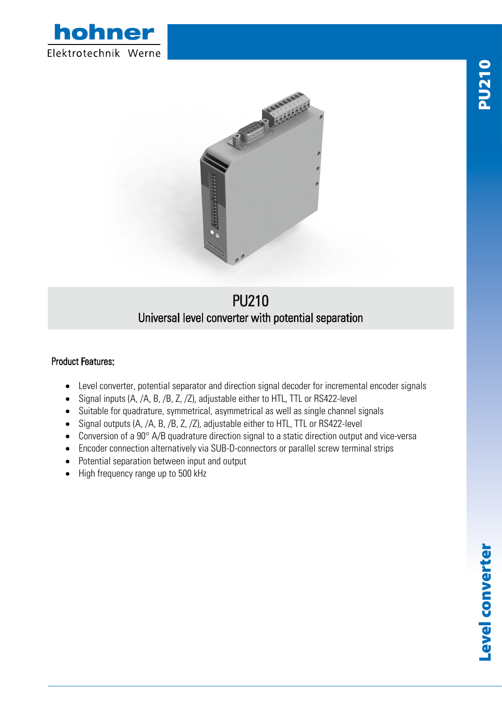



## PU210 Universal level converter with potential separation

## Product Features:

- Level converter, potential separator and direction signal decoder for incremental encoder signals
- Signal inputs (A, /A, B, /B, Z, /Z), adjustable either to HTL, TTL or RS422-level
- Suitable for quadrature, symmetrical, asymmetrical as well as single channel signals
- Signal outputs (A, /A, B, /B, Z, /Z), adjustable either to HTL, TTL or RS422-level
- Conversion of a 90° A/B quadrature direction signal to a static direction output and vice-versa
- Encoder connection alternatively via SUB-D-connectors or parallel screw terminal strips
- Potential separation between input and output
- High frequency range up to 500 kHz